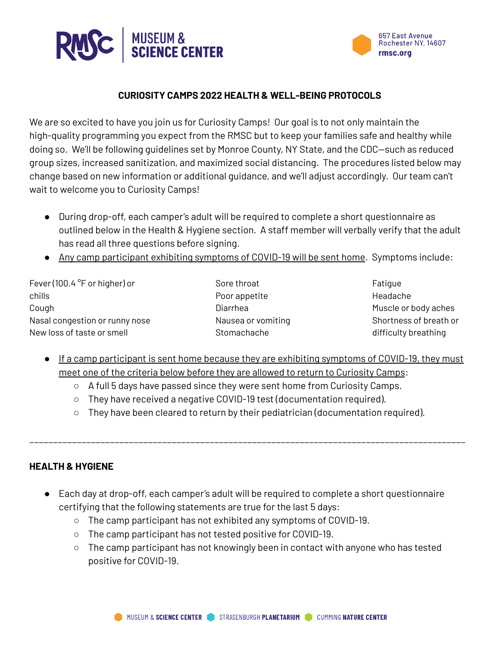



#### **CURIOSITY CAMPS 2022 HEALTH & WELL-BEING PROTOCOLS**

We are so excited to have you join us for Curiosity Camps! Our goal is to not only maintain the high-quality programming you expect from the RMSC but to keep your families safe and healthy while doing so. We'll be following guidelines set by Monroe County, NY State, and the CDC—such as reduced group sizes, increased sanitization, and maximized social distancing. The procedures listed below may change based on new information or additional guidance, and we'll adjust accordingly. Our team can't wait to welcome you to Curiosity Camps!

- During drop-off, each camper's adult will be required to complete a short questionnaire as outlined below in the Health & Hygiene section. A staff member will verbally verify that the adult has read all three questions before signing.
- Any camp participant exhibiting symptoms of COVID-19 will be sent home. Symptoms include:

Fever (100.4 °F or higher) or chills Cough Nasal congestion or runny nose New loss of taste or smell

Sore throat Poor appetite Diarrhea Nausea or vomiting Stomachache

Fatigue Headache Muscle or body aches Shortness of breath or difficulty breathing

- If a camp participant is sent home because they are exhibiting symptoms of COVID-19, they must meet one of the criteria below before they are allowed to return to Curiosity Camps:
	- A full 5 days have passed since they were sent home from Curiosity Camps.
	- They have received a negative COVID-19 test (documentation required).
	- They have been cleared to return by their pediatrician (documentation required).

\_\_\_\_\_\_\_\_\_\_\_\_\_\_\_\_\_\_\_\_\_\_\_\_\_\_\_\_\_\_\_\_\_\_\_\_\_\_\_\_\_\_\_\_\_\_\_\_\_\_\_\_\_\_\_\_\_\_\_\_\_\_\_\_\_\_\_\_\_\_\_\_\_\_\_\_\_\_\_\_\_\_\_\_\_\_\_\_\_\_\_\_

### **HEALTH & HYGIENE**

- Each day at drop-off, each camper's adult will be required to complete a short questionnaire certifying that the following statements are true for the last 5 days:
	- The camp participant has not exhibited any symptoms of COVID-19.
	- The camp participant has not tested positive for COVID-19.
	- The camp participant has not knowingly been in contact with anyone who has tested positive for COVID-19.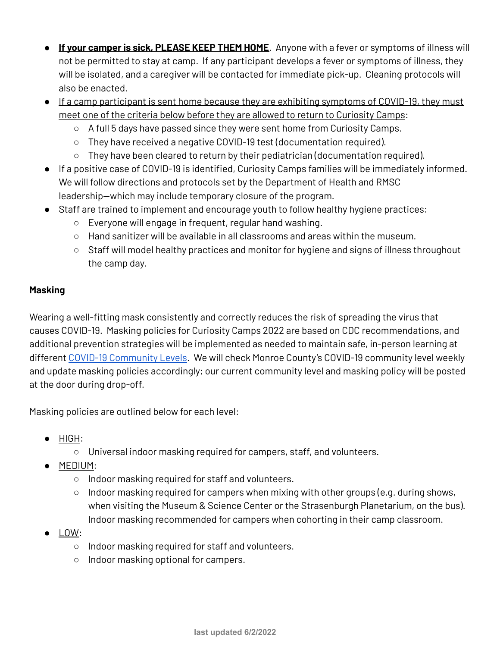- **If your camper is sick, PLEASE KEEP THEM HOME**. Anyone with a fever or symptoms of illness will not be permitted to stay at camp. If any participant develops a fever or symptoms of illness, they will be isolated, and a caregiver will be contacted for immediate pick-up. Cleaning protocols will also be enacted.
- If a camp participant is sent home because they are exhibiting symptoms of COVID-19, they must meet one of the criteria below before they are allowed to return to Curiosity Camps:
	- A full 5 days have passed since they were sent home from Curiosity Camps.
	- They have received a negative COVID-19 test (documentation required).
	- $\circ$  They have been cleared to return by their pediatrician (documentation required).
- If a positive case of COVID-19 is identified, Curiosity Camps families will be immediately informed. We will follow directions and protocols set by the Department of Health and RMSC leadership—which may include temporary closure of the program.
- Staff are trained to implement and encourage youth to follow healthy hygiene practices:
	- Everyone will engage in frequent, regular hand washing.
	- $\circ$  Hand sanitizer will be available in all classrooms and areas within the museum.
	- Staff will model healthy practices and monitor for hygiene and signs of illness throughout the camp day.

## **Masking**

Wearing a well-fitting mask consistently and correctly reduces the risk of spreading the virus that causes COVID-19. Masking policies for Curiosity Camps 2022 are based on CDC recommendations, and additional prevention strategies will be implemented as needed to maintain safe, in-person learning at different COVID-19 [Community](https://www.cdc.gov/coronavirus/2019-ncov/science/community-levels.html) Levels. We will check Monroe County's COVID-19 community level weekly and update masking policies accordingly; our current community level and masking policy will be posted at the door during drop-off.

Masking policies are outlined below for each level:

- HIGH:
	- Universal indoor masking required for campers, staff, and volunteers.
- MEDIUM:
	- Indoor masking required for staff and volunteers.
	- Indoor masking required for campers when mixing with other groups (e.g. during shows, when visiting the Museum & Science Center or the Strasenburgh Planetarium, on the bus). Indoor masking recommended for campers when cohorting in their camp classroom.
- LOW:
	- Indoor masking required for staff and volunteers.
	- Indoor masking optional for campers.